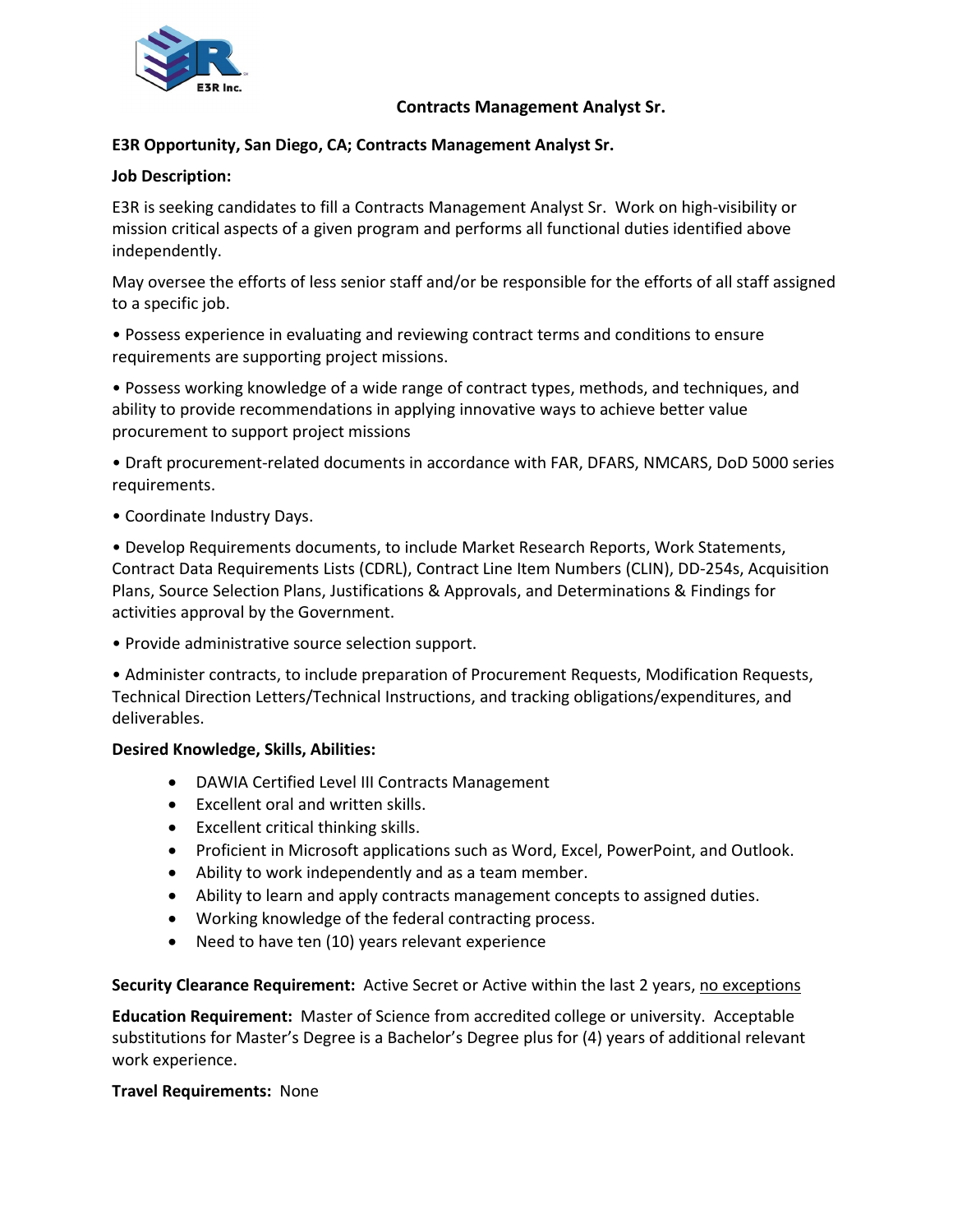

# **Contracts Management Analyst Sr.**

# **E3R Opportunity, San Diego, CA; Contracts Management Analyst Sr.**

### **Job Description:**

E3R is seeking candidates to fill a Contracts Management Analyst Sr. Work on high-visibility or mission critical aspects of a given program and performs all functional duties identified above independently.

May oversee the efforts of less senior staff and/or be responsible for the efforts of all staff assigned to a specific job.

• Possess experience in evaluating and reviewing contract terms and conditions to ensure requirements are supporting project missions.

• Possess working knowledge of a wide range of contract types, methods, and techniques, and ability to provide recommendations in applying innovative ways to achieve better value procurement to support project missions

• Draft procurement-related documents in accordance with FAR, DFARS, NMCARS, DoD 5000 series requirements.

• Coordinate Industry Days.

• Develop Requirements documents, to include Market Research Reports, Work Statements, Contract Data Requirements Lists (CDRL), Contract Line Item Numbers (CLIN), DD-254s, Acquisition Plans, Source Selection Plans, Justifications & Approvals, and Determinations & Findings for activities approval by the Government.

• Provide administrative source selection support.

• Administer contracts, to include preparation of Procurement Requests, Modification Requests, Technical Direction Letters/Technical Instructions, and tracking obligations/expenditures, and deliverables.

#### **Desired Knowledge, Skills, Abilities:**

- DAWIA Certified Level III Contracts Management
- Excellent oral and written skills.
- Excellent critical thinking skills.
- Proficient in Microsoft applications such as Word, Excel, PowerPoint, and Outlook.
- Ability to work independently and as a team member.
- Ability to learn and apply contracts management concepts to assigned duties.
- Working knowledge of the federal contracting process.
- Need to have ten (10) years relevant experience

#### **Security Clearance Requirement:** Active Secret or Active within the last 2 years, no exceptions

**Education Requirement:** Master of Science from accredited college or university. Acceptable substitutions for Master's Degree is a Bachelor's Degree plus for (4) years of additional relevant work experience.

#### **Travel Requirements:** None